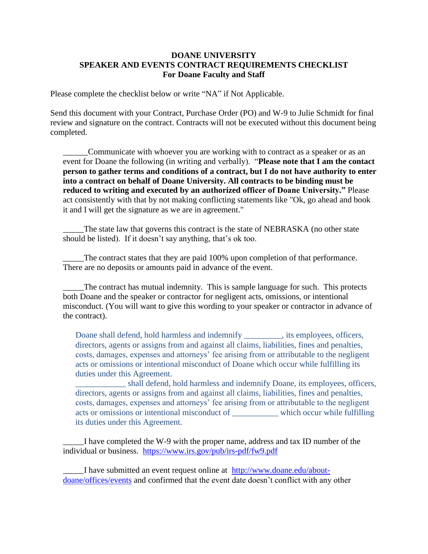## **DOANE UNIVERSITY SPEAKER AND EVENTS CONTRACT REQUIREMENTS CHECKLIST For Doane Faculty and Staff**

Please complete the checklist below or write "NA" if Not Applicable.

Send this document with your Contract, Purchase Order (PO) and W-9 to Julie Schmidt for final review and signature on the contract. Contracts will not be executed without this document being completed.

\_\_\_\_\_\_Communicate with whoever you are working with to contract as a speaker or as an event for Doane the following (in writing and verbally). "**Please note that I am the contact person to gather terms and conditions of a contract, but I do not have authority to enter into a contract on behalf of Doane University. All contracts to be binding must be reduced to writing and executed by an authorized officer of Doane University."** Please act consistently with that by not making conflicting statements like "Ok, go ahead and book it and I will get the signature as we are in agreement."

The state law that governs this contract is the state of NEBRASKA (no other state should be listed). If it doesn't say anything, that's ok too.

The contract states that they are paid 100% upon completion of that performance. There are no deposits or amounts paid in advance of the event.

The contract has mutual indemnity. This is sample language for such. This protects both Doane and the speaker or contractor for negligent acts, omissions, or intentional misconduct. (You will want to give this wording to your speaker or contractor in advance of the contract).

Doane shall defend, hold harmless and indemnify \_\_\_\_\_\_\_\_\_, its employees, officers, directors, agents or assigns from and against all claims, liabilities, fines and penalties, costs, damages, expenses and attorneys' fee arising from or attributable to the negligent acts or omissions or intentional misconduct of Doane which occur while fulfilling its duties under this Agreement.

\_\_\_\_\_\_\_\_\_\_\_\_ shall defend, hold harmless and indemnify Doane, its employees, officers, directors, agents or assigns from and against all claims, liabilities, fines and penalties, costs, damages, expenses and attorneys' fee arising from or attributable to the negligent acts or omissions or intentional misconduct of \_\_\_\_\_\_\_\_\_\_\_ which occur while fulfilling its duties under this Agreement.

\_\_\_\_\_I have completed the W-9 with the proper name, address and tax ID number of the individual or business. <https://www.irs.gov/pub/irs-pdf/fw9.pdf>

I have submitted an event request online at [http://www.doane.edu/about](http://www.doane.edu/about-doane/offices/events)[doane/offices/events](http://www.doane.edu/about-doane/offices/events) and confirmed that the event date doesn't conflict with any other